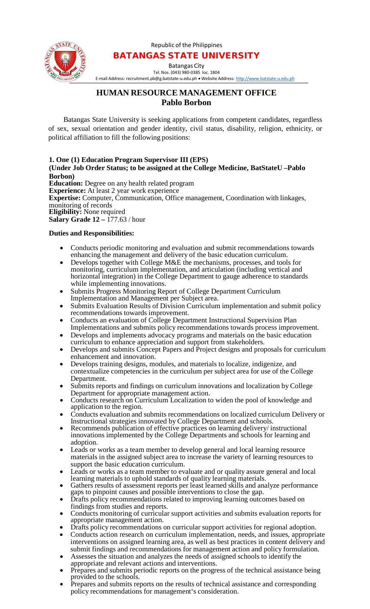Republic of the Philippines



## BATANGAS STATE UNIVERSITY

Batangas City

Tel.Nos. (043) 980-0385 loc. 1804 E-mail Address: [recruitment.pb@g.batstate-u.edu.ph](mailto:recruitment.pb@g.batstate-u.edu.ph) • Website Address: [http://www.batstate-u.edu.ph](http://www.batstate-u.edu.ph/)

## **HUMAN RESOURCE MANAGEMENT OFFICE Pablo Borbon**

Batangas State University is seeking applications from competent candidates, regardless of sex, sexual orientation and gender identity, civil status, disability, religion, ethnicity, or political affiliation to fill the following positions:

## **1. One (1) Education Program Supervisor III (EPS) (Under Job Order Status; to be assigned at the College Medicine, BatStateU –Pablo Borbon) Education:** Degree on any health related program **Experience:** At least 2 year work experience

**Expertise:** Computer, Communication, Office management, Coordination with linkages, monitoring of records **Eligibility:** None required **Salary Grade 12 – 177.63 / hour** 

## **Duties and Responsibilities:**

- Conducts periodic monitoring and evaluation and submit recommendations towards enhancing the management and delivery of the basic education curriculum.
- Develops together with College M&E the mechanisms, processes, and tools for monitoring, curriculum implementation, and articulation (including vertical and horizontal integration) in the College Department to gauge adherence to standards while implementing innovations.
- Submits Progress Monitoring Report of College Department Curriculum Implementation and Management per Subject area.
- Submits Evaluation Results of Division Curriculum implementation and submit policy recommendations towards improvement.
- Conducts an evaluation of College Department Instructional Supervision Plan Implementations and submits policy recommendations towards process improvement.
- Develops and implements advocacy programs and materials on the basic education curriculum to enhance appreciation and support from stakeholders.
- Develops and submits Concept Papers and Project designs and proposals for curriculum enhancement and innovation.
- Develops training designs, modules, and materials to localize, indigenize, and contextualize competencies in the curriculum per subject area for use of the College Department.
- Submits reports and findings on curriculum innovations and localization by College
- Department for appropriate management action.<br>
Conducts research on Curriculum Localization to widen the pool of knowledge and application to the region.
- Conducts evaluation and submits recommendations on localized curriculum Delivery or Instructional strategies innovated by College Department and schools.
- Recommends publication of effective practices on learning delivery/ instructional innovations implemented by the College Departments and schools for learning and adoption.
- Leads or works as a team member to develop general and local learning resource materials in the assigned subject area to increase the variety of learning resources to support the basic education curriculum.
- Leads or works as a team member to evaluate and or quality assure general and local learning materials to uphold standards of quality learning materials.
- Gathers results of assessment reports per least learned skills and analyze performance gaps to pinpoint causes and possible interventions to close the gap.
- Drafts policy recommendations related to improving learning outcomes based on findings from studies and reports.
- Conducts monitoring of curricular support activities and submits evaluation reports for appropriate management action.
- Drafts policy recommendations on curricular support activities for regional adoption.
- Conducts action research on curriculum implementation, needs, and issues, appropriate interventions on assigned learning area, as well as best practices in content delivery and submit findings and recommendations for management action and policy formulation.
- Assesses the situation and analyzes the needs of assigned schools to identify the appropriate and relevant actions and interventions.
- Prepares and submits periodic reports on the progress of the technical assistance being provided to the schools.
- Prepares and submits reports on the results of technical assistance and corresponding policy recommendations for management's consideration.